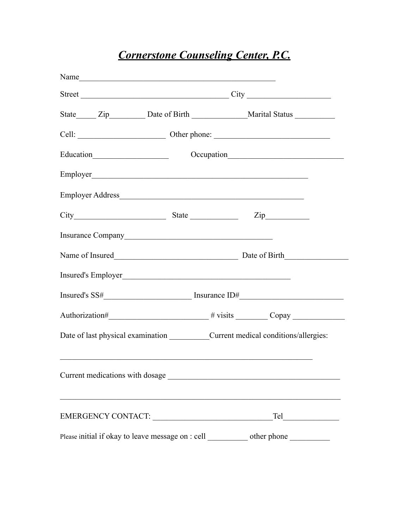# *Cornerstone Counseling Center, P.C.*

|                                 | Street City |  |                                                                                                                                                                                                                                |  |
|---------------------------------|-------------|--|--------------------------------------------------------------------------------------------------------------------------------------------------------------------------------------------------------------------------------|--|
|                                 |             |  |                                                                                                                                                                                                                                |  |
|                                 |             |  |                                                                                                                                                                                                                                |  |
|                                 |             |  | Education Occupation Constant Constant Constant Constant Constant Constant Constant Constant Constant Constant Constant Constant Constant Constant Constant Constant Constant Constant Constant Constant Constant Constant Con |  |
|                                 |             |  |                                                                                                                                                                                                                                |  |
|                                 |             |  |                                                                                                                                                                                                                                |  |
|                                 |             |  |                                                                                                                                                                                                                                |  |
|                                 |             |  |                                                                                                                                                                                                                                |  |
|                                 |             |  | Name of Insured Date of Birth                                                                                                                                                                                                  |  |
|                                 |             |  |                                                                                                                                                                                                                                |  |
|                                 |             |  | $Insured's \, SS\#$ $Insurance \, ID\#$                                                                                                                                                                                        |  |
|                                 |             |  |                                                                                                                                                                                                                                |  |
|                                 |             |  | Date of last physical examination ______________Current medical conditions/allergies:                                                                                                                                          |  |
| Current medications with dosage |             |  | <u> 1980 - Jan Barbara, martin da kasar Amerikaan kasar Indonesia.</u>                                                                                                                                                         |  |
|                                 |             |  |                                                                                                                                                                                                                                |  |
|                                 |             |  | Please initial if okay to leave message on : cell ____________ other phone ___________                                                                                                                                         |  |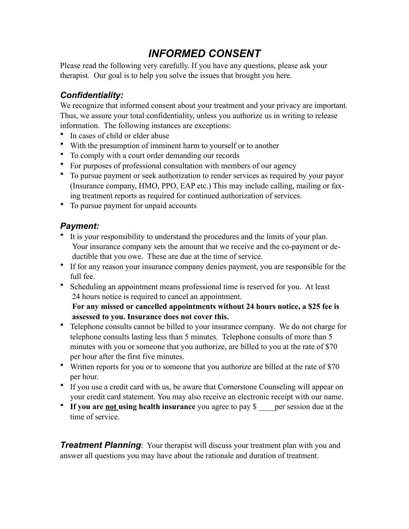# *INFORMED CONSENT*

Please read the following very carefully. If you have any questions, please ask your therapist. Our goal is to help you solve the issues that brought you here.

### *Confidentiality:*

We recognize that informed consent about your treatment and your privacy are important. Thus, we assure your total confidentiality, unless you authorize us in writing to release information. The following instances are exceptions:

- In cases of child or elder abuse
- With the presumption of imminent harm to yourself or to another
- To comply with a court order demanding our records
- For purposes of professional consultation with members of our agency
- To pursue payment or seek authorization to render services as required by your payor (Insurance company, HMO, PPO, EAP etc.) This may include calling, mailing or faxing treatment reports as required for continued authorization of services.
- To pursue payment for unpaid accounts

### *Payment:*

- It is your responsibility to understand the procedures and the limits of your plan. Your insurance company sets the amount that we receive and the co-payment or deductible that you owe. These are due at the time of service.
- If for any reason your insurance company denies payment, you are responsible for the full fee.
- Scheduling an appointment means professional time is reserved for you. At least 24 hours notice is required to cancel an appointment.

**For any missed or cancelled appointments without 24 hours notice, a \$25 fee is assessed to you. Insurance does not cover this.** 

- Telephone consults cannot be billed to your insurance company. We do not charge for telephone consults lasting less than 5 minutes. Telephone consults of more than 5 minutes with you or someone that you authorize, are billed to you at the rate of \$70 per hour after the first five minutes.
- Written reports for you or to someone that you authorize are billed at the rate of \$70 per hour.
- If you use a credit card with us, be aware that Cornerstone Counseling will appear on your credit card statement. You may also receive an electronic receipt with our name.
- If you are not using health insurance you agree to pay \$ per session due at the time of service.

**Treatment Planning**: Your therapist will discuss your treatment plan with you and answer all questions you may have about the rationale and duration of treatment.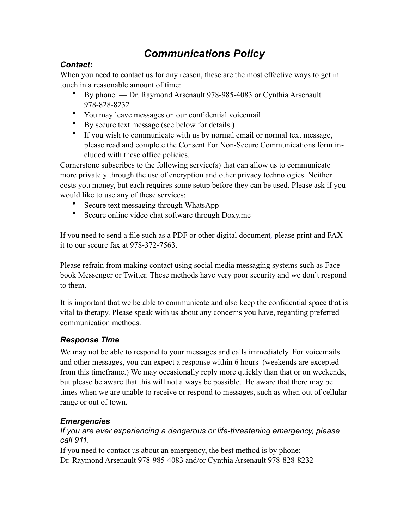## *Communications Policy*

#### *Contact:*

When you need to contact us for any reason, these are the most effective ways to get in touch in a reasonable amount of time:

- By phone Dr. Raymond Arsenault 978-985-4083 or Cynthia Arsenault 978-828-8232
- You may leave messages on our confidential voicemail
- By secure text message (see below for details.)
- If you wish to communicate with us by normal email or normal text message, please read and complete the Consent For Non-Secure Communications form included with these office policies.

Cornerstone subscribes to the following service(s) that can allow us to communicate more privately through the use of encryption and other privacy technologies. Neither costs you money, but each requires some setup before they can be used. Please ask if you would like to use any of these services:

- Secure text messaging through WhatsApp
- Secure online video chat software through Doxy.me

If you need to send a file such as a PDF or other digital document*,* please print and FAX it to our secure fax at 978-372-7563.

Please refrain from making contact using social media messaging systems such as Facebook Messenger or Twitter. These methods have very poor security and we don't respond to them.

It is important that we be able to communicate and also keep the confidential space that is vital to therapy. Please speak with us about any concerns you have, regarding preferred communication methods.

#### *Response Time*

We may not be able to respond to your messages and calls immediately. For voicemails and other messages, you can expect a response within 6 hours (weekends are excepted from this timeframe.) We may occasionally reply more quickly than that or on weekends, but please be aware that this will not always be possible. Be aware that there may be times when we are unable to receive or respond to messages, such as when out of cellular range or out of town.

#### *Emergencies*

#### *If you are ever experiencing a dangerous or life-threatening emergency, please call 911.*

If you need to contact us about an emergency, the best method is by phone: Dr. Raymond Arsenault 978-985-4083 and/or Cynthia Arsenault 978-828-8232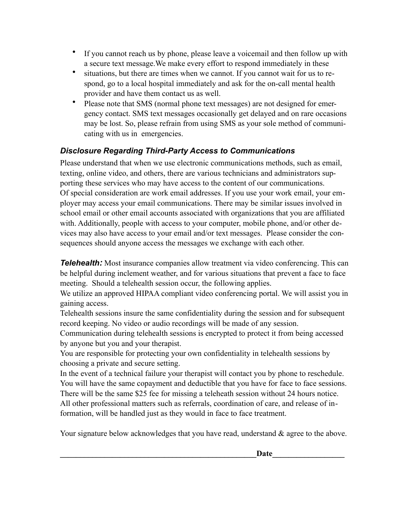- If you cannot reach us by phone, please leave a voicemail and then follow up with a secure text message.We make every effort to respond immediately in these
- situations, but there are times when we cannot. If you cannot wait for us to respond, go to a local hospital immediately and ask for the on-call mental health provider and have them contact us as well.
- Please note that SMS (normal phone text messages) are not designed for emergency contact. SMS text messages occasionally get delayed and on rare occasions may be lost. So, please refrain from using SMS as your sole method of communicating with us in emergencies.

#### *Disclosure Regarding Third-Party Access to Communications*

Please understand that when we use electronic communications methods, such as email, texting, online video, and others, there are various technicians and administrators supporting these services who may have access to the content of our communications. Of special consideration are work email addresses. If you use your work email, your employer may access your email communications. There may be similar issues involved in school email or other email accounts associated with organizations that you are affiliated with. Additionally, people with access to your computer, mobile phone, and/or other devices may also have access to your email and/or text messages. Please consider the consequences should anyone access the messages we exchange with each other.

*Telehealth:* Most insurance companies allow treatment via video conferencing. This can be helpful during inclement weather, and for various situations that prevent a face to face meeting. Should a telehealth session occur, the following applies.

We utilize an approved HIPAA compliant video conferencing portal. We will assist you in gaining access.

Telehealth sessions insure the same confidentiality during the session and for subsequent record keeping. No video or audio recordings will be made of any session.

Communication during telehealth sessions is encrypted to protect it from being accessed by anyone but you and your therapist.

You are responsible for protecting your own confidentiality in telehealth sessions by choosing a private and secure setting.

In the event of a technical failure your therapist will contact you by phone to reschedule. You will have the same copayment and deductible that you have for face to face sessions. There will be the same \$25 fee for missing a teleheath session without 24 hours notice. All other professional matters such as referrals, coordination of care, and release of information, will be handled just as they would in face to face treatment.

Your signature below acknowledges that you have read, understand  $\&$  agree to the above.